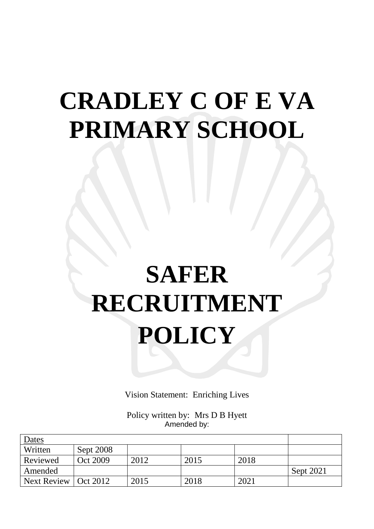# **CRADLEY C OF E VA PRIMARY SCHOOL**

# **SAFER RECRUITMENT POLICY**

Vision Statement: Enriching Lives

Policy written by: Mrs D B Hyett Amended by:

| <u>Dates</u> |           |      |      |      |           |
|--------------|-----------|------|------|------|-----------|
| Written      | Sept 2008 |      |      |      |           |
| Reviewed     | Oct 2009  | 2012 | 2015 | 2018 |           |
| Amended      |           |      |      |      | Sept 2021 |
| Next Review  | Oct 2012  | 2015 | 2018 | 2021 |           |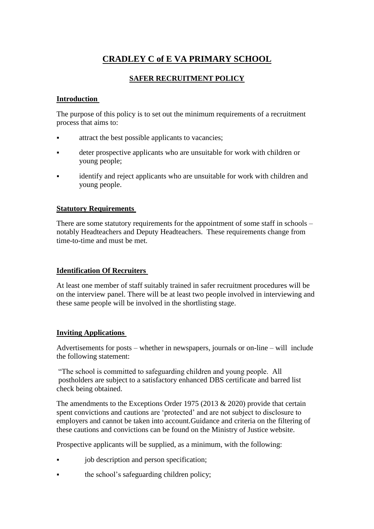# **CRADLEY C of E VA PRIMARY SCHOOL**

# **SAFER RECRUITMENT POLICY**

#### **Introduction**

The purpose of this policy is to set out the minimum requirements of a recruitment process that aims to:

- attract the best possible applicants to vacancies;
- deter prospective applicants who are unsuitable for work with children or young people;
- identify and reject applicants who are unsuitable for work with children and young people.

#### **Statutory Requirements**

There are some statutory requirements for the appointment of some staff in schools – notably Headteachers and Deputy Headteachers. These requirements change from time-to-time and must be met.

#### **Identification Of Recruiters**

At least one member of staff suitably trained in safer recruitment procedures will be on the interview panel. There will be at least two people involved in interviewing and these same people will be involved in the shortlisting stage.

# **Inviting Applications**

Advertisements for posts – whether in newspapers, journals or on-line – will include the following statement:

"The school is committed to safeguarding children and young people. All postholders are subject to a satisfactory enhanced DBS certificate and barred list check being obtained.

The amendments to the Exceptions Order 1975 (2013 & 2020) provide that certain spent convictions and cautions are 'protected' and are not subject to disclosure to employers and cannot be taken into account.Guidance and criteria on the filtering of these cautions and convictions can be found on the Ministry of Justice website.

Prospective applicants will be supplied, as a minimum, with the following:

- job description and person specification;
- the school's safeguarding children policy;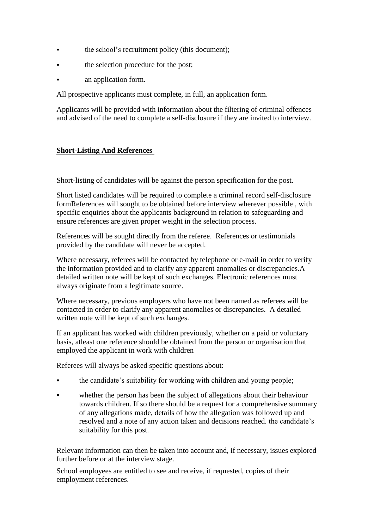- the school's recruitment policy (this document);
- the selection procedure for the post;
- an application form.

All prospective applicants must complete, in full, an application form.

Applicants will be provided with information about the filtering of criminal offences and advised of the need to complete a self-disclosure if they are invited to interview.

### **Short-Listing And References**

Short-listing of candidates will be against the person specification for the post.

Short listed candidates will be required to complete a criminal record self-disclosure formReferences will sought to be obtained before interview wherever possible , with specific enquiries about the applicants background in relation to safeguarding and ensure references are given proper weight in the selection process.

References will be sought directly from the referee. References or testimonials provided by the candidate will never be accepted.

Where necessary, referees will be contacted by telephone or e-mail in order to verify the information provided and to clarify any apparent anomalies or discrepancies.A detailed written note will be kept of such exchanges. Electronic references must always originate from a legitimate source.

Where necessary, previous employers who have not been named as referees will be contacted in order to clarify any apparent anomalies or discrepancies. A detailed written note will be kept of such exchanges.

If an applicant has worked with children previously, whether on a paid or voluntary basis, atleast one reference should be obtained from the person or organisation that employed the applicant in work with children

Referees will always be asked specific questions about:

- the candidate's suitability for working with children and young people;
- whether the person has been the subject of allegations about their behaviour towards children. If so there should be a request for a comprehensive summary of any allegations made, details of how the allegation was followed up and resolved and a note of any action taken and decisions reached. the candidate's suitability for this post.

Relevant information can then be taken into account and, if necessary, issues explored further before or at the interview stage.

School employees are entitled to see and receive, if requested, copies of their employment references.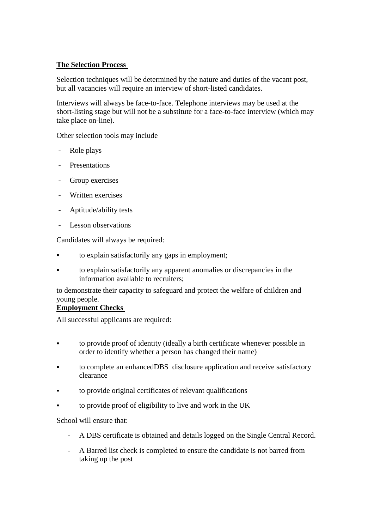#### **The Selection Process**

Selection techniques will be determined by the nature and duties of the vacant post, but all vacancies will require an interview of short-listed candidates.

Interviews will always be face-to-face. Telephone interviews may be used at the short-listing stage but will not be a substitute for a face-to-face interview (which may take place on-line).

Other selection tools may include

- Role plays
- **Presentations**
- Group exercises
- Written exercises
- Aptitude/ability tests
- Lesson observations

Candidates will always be required:

- to explain satisfactorily any gaps in employment;
- to explain satisfactorily any apparent anomalies or discrepancies in the information available to recruiters;

to demonstrate their capacity to safeguard and protect the welfare of children and young people.

# **Employment Checks**

All successful applicants are required:

- to provide proof of identity (ideally a birth certificate whenever possible in order to identify whether a person has changed their name)
- to complete an enhancedDBS disclosure application and receive satisfactory clearance
- to provide original certificates of relevant qualifications
- to provide proof of eligibility to live and work in the UK

School will ensure that:

- A DBS certificate is obtained and details logged on the Single Central Record.
- A Barred list check is completed to ensure the candidate is not barred from taking up the post